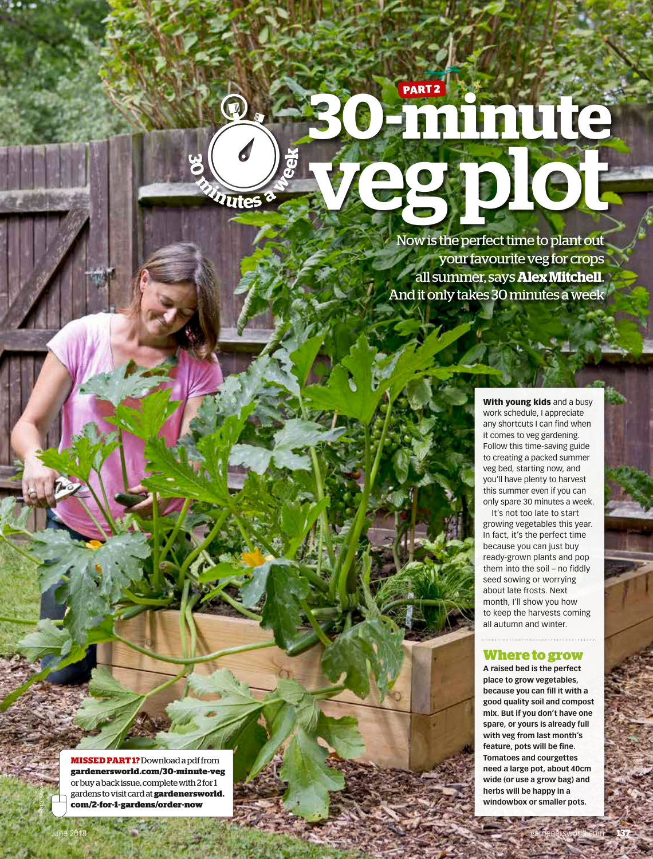### **30-minute** veg plot Now is the perfect time to plant out **<sup>3</sup><sup>0</sup> <sup>m</sup>inute<sup>s</sup> <sup>a</sup> <sup>w</sup>ee<sup>k</sup> PART 2**

D

your favourite veg for crops all summer, says **Alex Mitchell**. And it only takes 30 minutes a week

> With young kids and a busy work schedule, I appreciate any shortcuts I can find when it comes to veg gardening. Follow this time-saving guide to creating a packed summer veg bed, starting now, and you'll have plenty to harvest this summer even if you can only spare 30 minutes a week. It's not too late to start

growing vegetables this year. In fact, it's the perfect time because you can just buy ready-grown plants and pop them into the soil – no fiddly seed sowing or worrying about late frosts. Next month, I'll show you how to keep the harvests coming all autumn and winter.

### **Where to grow**

**A raised bed is the perfect place to grow vegetables, because you can fill it with a good quality soil and compost mix. But if you don't have one spare, or yours is already full with veg from last month's feature, pots will be fine. Tomatoes and courgettes need a large pot, about 40cm wide (or use a grow bag) and herbs will be happy in a windowbox or smaller pots.**

**MISSED PART 1?** Download a pdf from **gardenersworld.com/30-minute-veg** or buy a back issue, complete with 2 for 1 gardens to visit card at **gardenersworld. com/2-for-1-gardens/order-now**

PHOTO: SARAH CUTTLE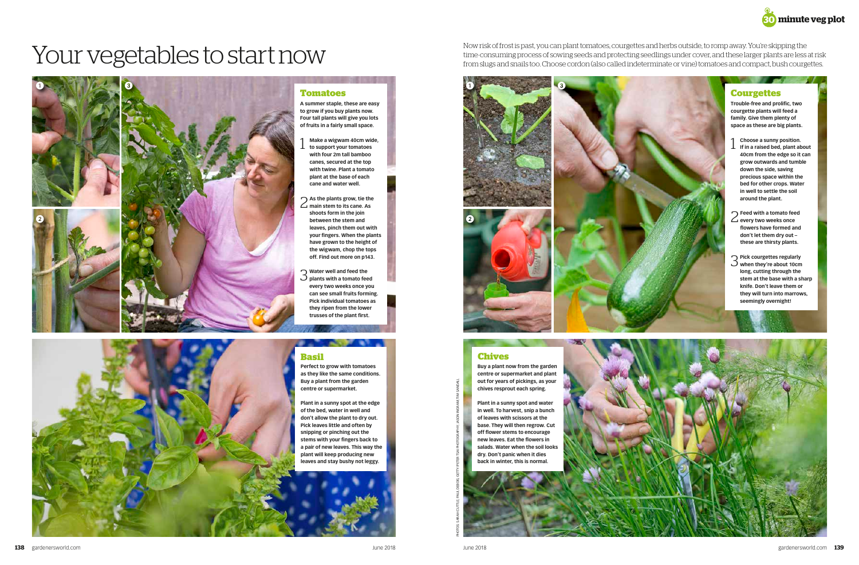**Trouble-free and prolific, two courgette plants will feed a family. Give them plenty of space as these are big plants.**

- 1 **Choose a sunny position. If in a raised bed, plant about 40cm from the edge so it can grow outwards and tumble down the side, saving precious space within the bed for other crops. Water in well to settle the soil around the plant.**
- 2 **Feed with a tomato feed every two weeks once flowers have formed and don't let them dry out – these are thirsty plants.**

## Now risk of frost is past, you can plant tomatoes, courgettes and herbs outside, to romp away. You're skipping the<br>time-consuming process of sowing seeds and protecting seedlings under cover, and these larger plants are l







3 **Pick courgettes regularly when they're about 10cm long, cutting through the stem at the base with a sharp knife. Don't leave them or they will turn into marrows, seemingly overnight!**



**A summer staple, these are easy to grow if you buy plants now. Four tall plants will give you lots of fruits in a fairly small space.** 

- 1 **Make a wigwam 40cm wide, to support your tomatoes with four 2m tall bamboo canes, secured at the top with twine. Plant a tomato plant at the base of each cane and water well.**
- 2 **As the plants grow, tie the main stem to its cane. As shoots form in the join leaves, pinch them out with your fingers. When the plants have grown to the height of the wigwam, chop the tops off. Find out more on p143.**
- 3 **Water well and feed the plants with a tomato feed every two weeks once you can see small fruits forming. Pick individual tomatoes as they ripen from the lower trusses of the plant first.**





**Perfect to grow with tomatoes as they like the same conditions. Buy a plant from the garden centre or supermarket.**

-

**Plant in a sunny spot at the edge of the bed, water in well and don't allow the plant to dry out. Pick leaves little and often by snipping or pinching out the stems with your fingers back to a pair of new leaves. This way the plant will keep producing new leaves and stay bushy not leggy.**

**Buy a plant now from the garden centre or supermarket and plant out for years of pickings, as your chives resprout each spring.** 

**Plant in a sunny spot and water in well. To harvest, snip a bunch of leaves with scissors at the base. They will then regrow. Cut off flower stems to encourage new leaves. Eat the flowers in salads. Water when the soil looks dry. Don't panic when it dies back in winter, this is normal.**





PHOTOS: SARAH CUTTLE; PAUL DEBOIS; GETTY/PETER TSAI PHOTOGRAPHY; JASON INGRAM; TIM SANDALL





Now risk of frost is past, you can plant tomatoes, courgettes and herbs outside, to romp away. You're skipping the